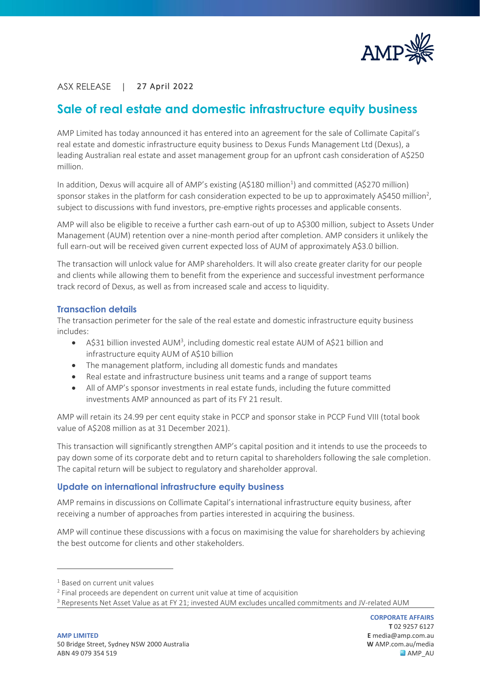

# ASX RELEASE | 27 April 2022

I

# **Sale of real estate and domestic infrastructure equity business**

AMP Limited has today announced it has entered into an agreement for the sale of Collimate Capital's real estate and domestic infrastructure equity business to Dexus Funds Management Ltd (Dexus), a leading Australian real estate and asset management group for an upfront cash consideration of A\$250 million.

In addition, Dexus will acquire all of AMP's existing (A\$180 million $^1$ ) and committed (A\$270 million) sponsor stakes in the platform for cash consideration expected to be up to approximately A\$450 million<sup>2</sup>, subject to discussions with fund investors, pre-emptive rights processes and applicable consents.

AMP will also be eligible to receive a further cash earn-out of up to A\$300 million, subject to Assets Under Management (AUM) retention over a nine-month period after completion. AMP considers it unlikely the full earn-out will be received given current expected loss of AUM of approximately A\$3.0 billion.

The transaction will unlock value for AMP shareholders. It will also create greater clarity for our people and clients while allowing them to benefit from the experience and successful investment performance track record of Dexus, as well as from increased scale and access to liquidity.

# **Transaction details**

The transaction perimeter for the sale of the real estate and domestic infrastructure equity business includes:

- A\$31 billion invested AUM<sup>3</sup>, including domestic real estate AUM of A\$21 billion and infrastructure equity AUM of A\$10 billion
- The management platform, including all domestic funds and mandates
- Real estate and infrastructure business unit teams and a range of support teams
- All of AMP's sponsor investments in real estate funds, including the future committed investments AMP announced as part of its FY 21 result.

AMP will retain its 24.99 per cent equity stake in PCCP and sponsor stake in PCCP Fund VIII (total book value of A\$208 million as at 31 December 2021).

This transaction will significantly strengthen AMP's capital position and it intends to use the proceeds to pay down some of its corporate debt and to return capital to shareholders following the sale completion. The capital return will be subject to regulatory and shareholder approval.

# **Update on international infrastructure equity business**

AMP remains in discussions on Collimate Capital's international infrastructure equity business, after receiving a number of approaches from parties interested in acquiring the business.

AMP will continue these discussions with a focus on maximising the value for shareholders by achieving the best outcome for clients and other stakeholders.

<sup>&</sup>lt;sup>1</sup> Based on current unit values

 $2$  Final proceeds are dependent on current unit value at time of acquisition

<sup>&</sup>lt;sup>3</sup> Represents Net Asset Value as at FY 21; invested AUM excludes uncalled commitments and JV-related AUM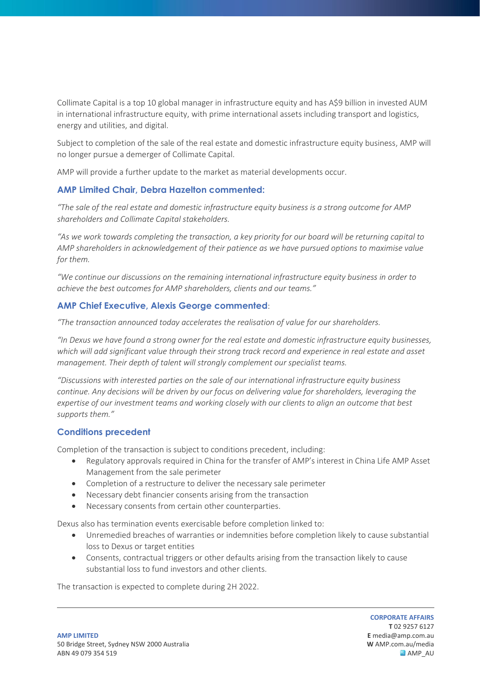Collimate Capital is a top 10 global manager in infrastructure equity and has A\$9 billion in invested AUM in international infrastructure equity, with prime international assets including transport and logistics, energy and utilities, and digital.

Subject to completion of the sale of the real estate and domestic infrastructure equity business, AMP will no longer pursue a demerger of Collimate Capital.

AMP will provide a further update to the market as material developments occur.

# **AMP Limited Chair, Debra Hazelton commented:**

*"The sale of the real estate and domestic infrastructure equity business is a strong outcome for AMP shareholders and Collimate Capital stakeholders.* 

*"As we work towards completing the transaction, a key priority for our board will be returning capital to AMP shareholders in acknowledgement of their patience as we have pursued options to maximise value for them.*

*"We continue our discussions on the remaining international infrastructure equity business in order to achieve the best outcomes for AMP shareholders, clients and our teams."* 

# **AMP Chief Executive, Alexis George commented**:

*"The transaction announced today accelerates the realisation of value for our shareholders.* 

*"In Dexus we have found a strong owner for the real estate and domestic infrastructure equity businesses, which will add significant value through their strong track record and experience in real estate and asset management. Their depth of talent will strongly complement our specialist teams.* 

*"Discussions with interested parties on the sale of our international infrastructure equity business continue. Any decisions will be driven by our focus on delivering value for shareholders, leveraging the expertise of our investment teams and working closely with our clients to align an outcome that best supports them."*

# **Conditions precedent**

Completion of the transaction is subject to conditions precedent, including:

- Regulatory approvals required in China for the transfer of AMP's interest in China Life AMP Asset Management from the sale perimeter
- Completion of a restructure to deliver the necessary sale perimeter
- Necessary debt financier consents arising from the transaction
- Necessary consents from certain other counterparties.

Dexus also has termination events exercisable before completion linked to:

- Unremedied breaches of warranties or indemnities before completion likely to cause substantial loss to Dexus or target entities
- Consents, contractual triggers or other defaults arising from the transaction likely to cause substantial loss to fund investors and other clients.

The transaction is expected to complete during 2H 2022.